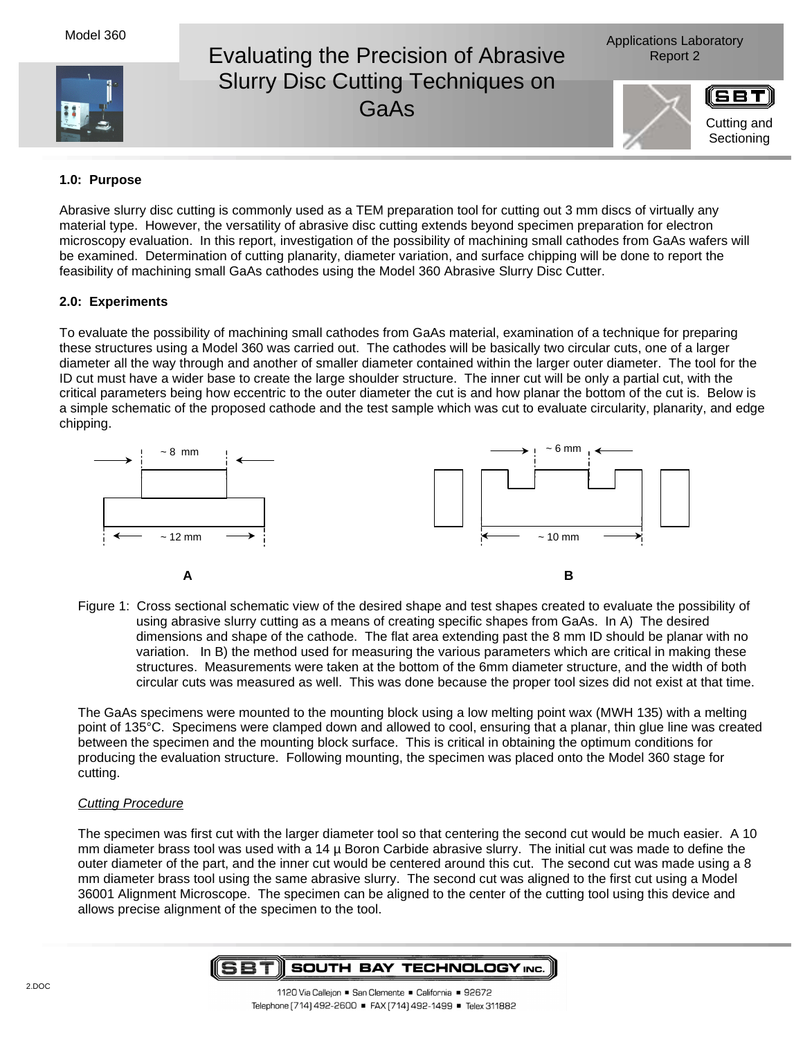Model 360





## **1.0: Purpose**

Abrasive slurry disc cutting is commonly used as a TEM preparation tool for cutting out 3 mm discs of virtually any material type. However, the versatility of abrasive disc cutting extends beyond specimen preparation for electron microscopy evaluation. In this report, investigation of the possibility of machining small cathodes from GaAs wafers will be examined. Determination of cutting planarity, diameter variation, and surface chipping will be done to report the feasibility of machining small GaAs cathodes using the Model 360 Abrasive Slurry Disc Cutter.

# **2.0: Experiments**

To evaluate the possibility of machining small cathodes from GaAs material, examination of a technique for preparing these structures using a Model 360 was carried out. The cathodes will be basically two circular cuts, one of a larger diameter all the way through and another of smaller diameter contained within the larger outer diameter. The tool for the ID cut must have a wider base to create the large shoulder structure. The inner cut will be only a partial cut, with the critical parameters being how eccentric to the outer diameter the cut is and how planar the bottom of the cut is. Below is a simple schematic of the proposed cathode and the test sample which was cut to evaluate circularity, planarity, and edge chipping.



Figure 1: Cross sectional schematic view of the desired shape and test shapes created to evaluate the possibility of using abrasive slurry cutting as a means of creating specific shapes from GaAs. In A) The desired dimensions and shape of the cathode. The flat area extending past the 8 mm ID should be planar with no variation. In B) the method used for measuring the various parameters which are critical in making these structures. Measurements were taken at the bottom of the 6mm diameter structure, and the width of both circular cuts was measured as well. This was done because the proper tool sizes did not exist at that time.

The GaAs specimens were mounted to the mounting block using a low melting point wax (MWH 135) with a melting point of 135°C. Specimens were clamped down and allowed to cool, ensuring that a planar, thin glue line was created between the specimen and the mounting block surface. This is critical in obtaining the optimum conditions for producing the evaluation structure. Following mounting, the specimen was placed onto the Model 360 stage for cutting.

## Cutting Procedure

The specimen was first cut with the larger diameter tool so that centering the second cut would be much easier. A 10 mm diameter brass tool was used with a 14 µ Boron Carbide abrasive slurry. The initial cut was made to define the outer diameter of the part, and the inner cut would be centered around this cut. The second cut was made using a 8 mm diameter brass tool using the same abrasive slurry. The second cut was aligned to the first cut using a Model 36001 Alignment Microscope. The specimen can be aligned to the center of the cutting tool using this device and allows precise alignment of the specimen to the tool.